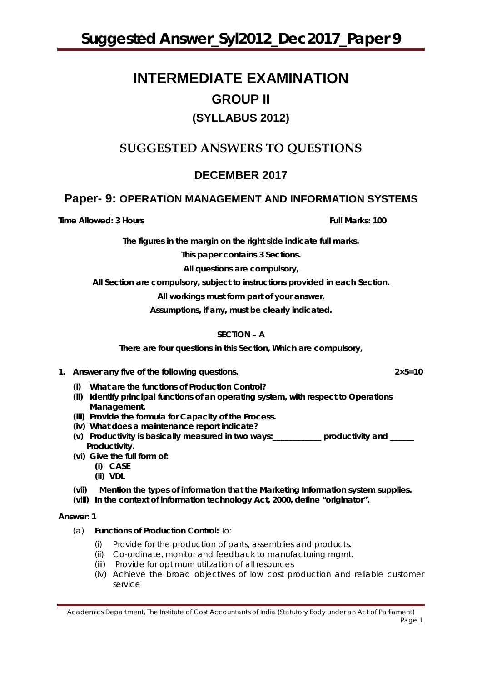# **INTERMEDIATE EXAMINATION GROUP II (SYLLABUS 2012)**

# **SUGGESTED ANSWERS TO QUESTIONS**

# **DECEMBER 2017**

# **Paper- 9: OPERATION MANAGEMENT AND INFORMATION SYSTEMS**

**Time Allowed: 3 Hours Full Marks: 100** 

**The figures in the margin on the right side indicate full marks.**

**This paper contains 3 Sections.**

**All questions are compulsory,**

**All Section are compulsory, subject to instructions provided in each Section.**

**All workings must form part of your answer.**

**Assumptions, if any, must be clearly indicated.**

# **SECTION – A**

**There are four questions in this Section, Which are compulsory,** 

- **1. Answer any five of the following questions. 2×5=10**
	- **(i) What are the functions of Production Control?**
	- **(ii) Identify principal functions of an operating system, with respect to Operations Management.**
	- **(iii) Provide the formula for Capacity of the Process.**
	- **(iv) What does a maintenance report indicate?**
	- **(v) Productivity is basically measured in two ways:\_\_\_\_\_\_\_\_\_\_\_\_ productivity and \_\_\_\_\_\_ Productivity.**
	- **(vi) Give the full form of:** 
		- **(i) CASE**
		- **(ii) VDL**
	- **(vii) Mention the types of information that the Marketing Information system supplies.**
	- **(viii) In the context of information technology Act, 2000, define "originator".**

#### **Answer: 1**

- (a) **Functions of Production Control:** To:
	- (i) Provide for the production of parts, assemblies and products.
	- (ii) Co-ordinate, monitor and feedback to manufacturing mgmt.
	- (iii) Provide for optimum utilization of all resources
	- (iv) Achieve the broad objectives of low cost production and reliable customer service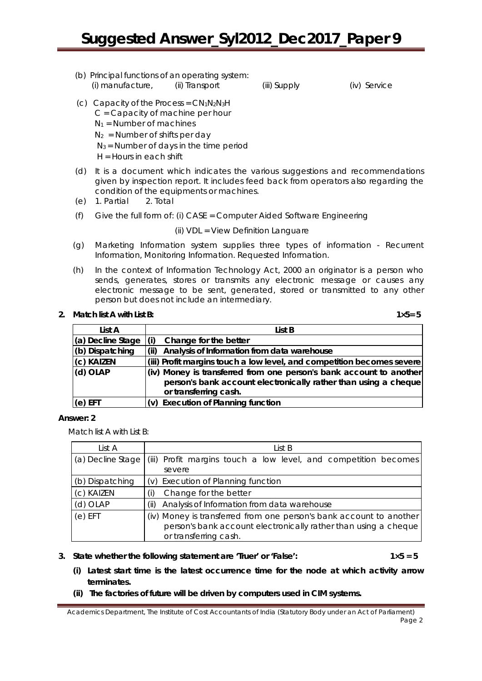(b) Principal functions of an operating system: (i) manufacture, (ii) Transport (iii) Supply (iv) Service

(c) Capacity of the Process =  $CN_1N_2N_3H$ C = Capacity of machine per hour

 $N_1$  = Number of machines

 $N_2$  = Number of shifts per day

 $N_3$  = Number of days in the time period

H = Hours in each shift

- (d) It is a document which indicates the various suggestions and recommendations given by inspection report. It includes feed back from operators also regarding the condition of the equipments or machines.
- (e) 1. Partial 2. Total
- (f) Give the full form of: (i) CASE = Computer Aided Software Engineering

(ii) VDL = View Definition Languare

- (g) Marketing Information system supplies three types of information Recurrent Information, Monitoring Information. Requested Information.
- (h) In the context of Information Technology Act, 2000 an originator is a person who sends, generates, stores or transmits any electronic message or causes any electronic message to be sent, generated, stored or transmitted to any other person but does not include an intermediary.

# **2. Match list A with List B: 1×5= 5**

| List A            | List B                                                                 |  |  |
|-------------------|------------------------------------------------------------------------|--|--|
| (a) Decline Stage | Change for the better                                                  |  |  |
| (b) Dispatching   | Analysis of Information from data warehouse                            |  |  |
| (c) KAIZEN        | (iii) Profit margins touch a low level, and competition becomes severe |  |  |
| (d) OLAP          | (iv) Money is transferred from one person's bank account to another    |  |  |
|                   | person's bank account electronically rather than using a cheque        |  |  |
|                   | or transferring cash.                                                  |  |  |
| $(e)$ EFT         | (v) Execution of Planning function                                     |  |  |

# **Answer: 2**

Match list A with List B:

| List A            | List B                                                                                                                                                          |  |
|-------------------|-----------------------------------------------------------------------------------------------------------------------------------------------------------------|--|
| (a) Decline Stage | (iii) Profit margins touch a low level, and competition becomes<br>severe                                                                                       |  |
| (b) Dispatching   | (v) Execution of Planning function                                                                                                                              |  |
| (c) KAIZEN        | Change for the better                                                                                                                                           |  |
| $(d)$ OLAP        | Analysis of Information from data warehouse<br>(ii)                                                                                                             |  |
| $(e)$ EFT         | (iv) Money is transferred from one person's bank account to another<br>person's bank account electronically rather than using a cheque<br>or transferring cash. |  |

**3. State whether the following statement are 'Truer' or 'False': 1×5 = 5**

- **(i) Latest start time is the latest occurrence time for the node at which activity arrow terminates.**
- **(ii) The factories of future will be driven by computers used in CIM systems.**

Academics Department, The Institute of Cost Accountants of India (Statutory Body under an Act of Parliament) Page 2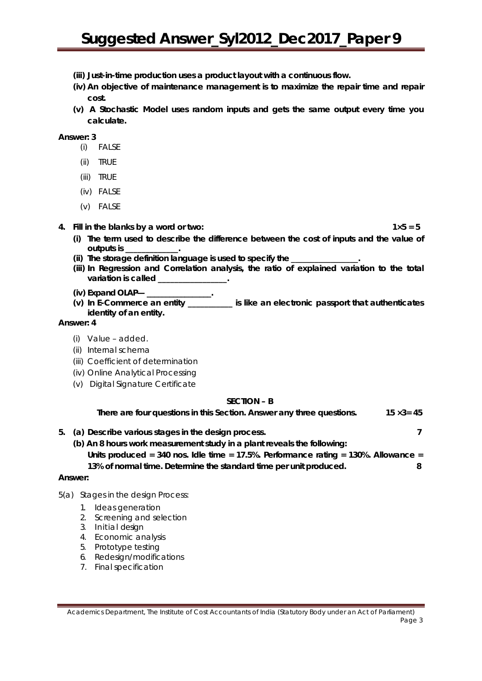- **(iii) Just-in-time production uses a product layout with a continuous flow.**
- **(iv) An objective of maintenance management is to maximize the repair time and repair cost.**
- **(v) A Stochastic Model uses random inputs and gets the same output every time you calculate.**

**Answer: 3**

- (i) FALSE
- (ii) TRUE
- (iii) TRUE
- (iv) FALSE
- (v) FALSE
- **4. Fill in the blanks by a word or two: 1×5 = 5**

- **(i) The term used to describe the difference between the cost of inputs and the value of outputs is \_\_\_\_\_\_\_\_\_\_\_\_\_.**
- **(ii) The storage definition language is used to specify the \_\_\_\_\_\_\_\_\_\_\_\_\_\_\_\_\_.**
- **(iii) In Regression and Correlation analysis, the ratio of explained variation to the total variation is called \_\_\_\_\_\_\_\_\_\_\_\_\_\_\_\_\_.**
- **(iv) Expand OLAP— \_\_\_\_\_\_\_\_\_\_\_\_\_\_\_\_\_.**
- **(v) In E-Commerce an entity \_\_\_\_\_\_\_\_\_\_\_ is like an electronic passport that authenticates identity of an entity.**

#### **Answer: 4**

- (i) Value added.
- (ii) Internal schema
- (iii) Coefficient of determination
- (iv) Online Analytical Processing
- (v) Digital Signature Certificate

#### **SECTION – B**

 **There are four questions in this Section. Answer any three questions. 15 ×3= 45**

- **5. (a) Describe various stages in the design process. 7**
	- **(b) An 8 hours work measurement study in a plant reveals the following: Units produced = 340 nos. Idle time = 17.5%. Performance rating = 130%. Allowance =**

# **13% of normal time. Determine the standard time per unit produced. 8**

#### **Answer:**

- 5(a) Stages in the design Process:
	- 1. Ideas generation
	- 2. Screening and selection
	- 3. Initial design
	- 4. Economic analysis
	- 5. Prototype testing
	- 6. Redesign/modifications
	- 7. Final specification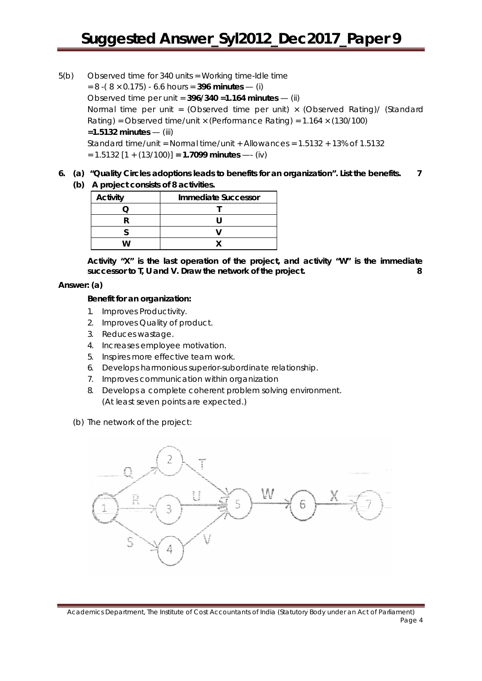- 5(b) Observed time for 340 units = Working time-Idle time  $= 8 - (8 \times 0.175) - 6.6$  hours = **396 minutes** — (i) Observed time per unit = **396/340 =1.164 minutes** — (ii) Normal time per unit = (Observed time per unit)  $\times$  (Observed Rating)/ (Standard Rating) = Observed time/unit  $\times$  (Performance Rating) = 1.164  $\times$  (130/100) **=1.5132 minutes** — (iii) Standard time/unit = Normal time/unit + Allowances = 1.5132 + 13% of 1.5132 = 1.5132 [1 + (13/100)] **= 1.7099 minutes** —- (iv)
- **6. (a) "Quality Circles adoptions leads to benefits for an organization". List the benefits. 7 (b) A project consists of 8 activities.**

| A project corisists or a detivities. |                     |  |
|--------------------------------------|---------------------|--|
| <b>Activity</b>                      | Immediate Successor |  |
|                                      |                     |  |
|                                      |                     |  |

**S V W X**

**Activity "X" is the last operation of the project, and activity "W" is the immediate successor to T, U and V. Draw the network of the project. 8**

#### **Answer: (a)**

#### **Benefit for an organization:**

- 1. Improves Productivity.
- 2. Improves Quality of product.
- 3. Reduces wastage.
- 4. Increases employee motivation.
- 5. Inspires more effective team work.
- 6. Develops harmonious superior-subordinate relationship.
- 7. Improves communication within organization
- 8. Develops a complete coherent problem solving environment. (At least seven points are expected.)
- (b) The network of the project:

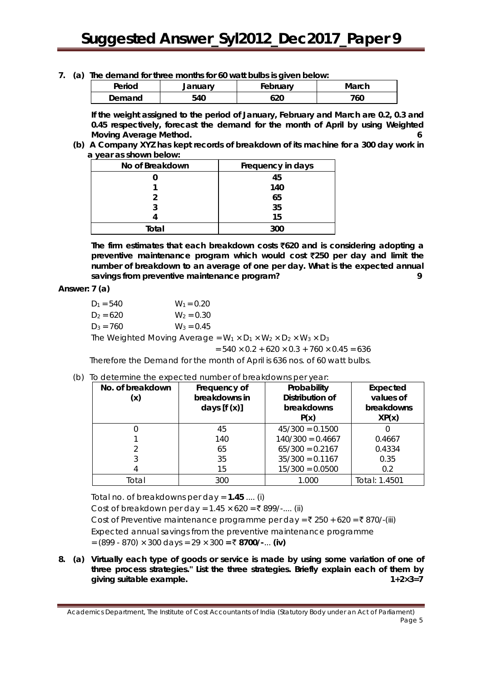#### **7. (a) The demand for three months for 60 watt bulbs is given below:**

| Period | January | February | March |
|--------|---------|----------|-------|
| Demand | 540     | 620      | 760   |

**If the weight assigned to the period of January, February and March are 0.2, 0.3 and 0.45 respectively, forecast the demand for the month of April by using Weighted Moving Average Method. 6**

**(b) A Company XYZ has kept records of breakdown of its machine for a 300 day work in a year as shown below:** 

| No of Breakdown | Frequency in days |
|-----------------|-------------------|
|                 | 45                |
|                 | 140               |
|                 | 65                |
|                 | 35                |
|                 | 15                |
| Total           | 300               |

**The firm estimates that each breakdown costs** `**620 and is considering adopting a preventive maintenance program which would cost** `**250 per day and limit the number of breakdown to an average of one per day. What is the expected annual savings from preventive maintenance program? 9**

#### **Answer: 7 (a)**

| $D_1 = 540$                                                                                | $W_1 = 0.20$ |  |
|--------------------------------------------------------------------------------------------|--------------|--|
| $D_2 = 620$                                                                                | $W_2 = 0.30$ |  |
| $D_3 = 760$                                                                                | $W_3 = 0.45$ |  |
| The Weighted Moving Average = $W_1 \times D_1 \times W_2 \times D_2 \times W_3 \times D_3$ |              |  |

$$
= 540 \times 0.2 + 620 \times 0.3 + 760 \times 0.45 = 636
$$

Therefore the Demand for the month of April is 636 nos. of 60 watt bulbs.

#### (b) To determine the expected number of breakdowns per year:

| No. of breakdown<br>(x) | Frequency of<br>breakdowns in<br>days $[f(x)]$ | Probability<br>Distribution of<br>breakdowns<br>P(x) | Expected<br>values of<br>breakdowns<br>XP(x) |
|-------------------------|------------------------------------------------|------------------------------------------------------|----------------------------------------------|
|                         | 45                                             | $45/300 = 0.1500$                                    |                                              |
|                         | 140                                            | $140/300 = 0.4667$                                   | 0.4667                                       |
|                         | 65                                             | $65/300 = 0.2167$                                    | 0.4334                                       |
|                         | 35                                             | $35/300 = 0.1167$                                    | 0.35                                         |
|                         | 15                                             | $15/300 = 0.0500$                                    | 0.2                                          |
| Total                   | 300                                            | 1.000                                                | Total: 1.4501                                |

Total no. of breakdowns per day = **1.45** .... (i)

Cost of breakdown per day =  $1.45 \times 620 = ₹ 899/$ -.... (ii)

Cost of Preventive maintenance programme per day =  $\bar{\xi}$  250 + 620 =  $\bar{\xi}$  870/-(iii) Expected annual savings from the preventive maintenance programme = (899 - 870) × 300 days = 29 × 300 **=** ` **8700/-**... **(iv)**

**8. (a) Virtually each type of goods or service is made by using some variation of one of three process strategies." List the three strategies. Briefly explain each of them by giving suitable example. 1+2×3=7**

Academics Department, The Institute of Cost Accountants of India (Statutory Body under an Act of Parliament) Page 5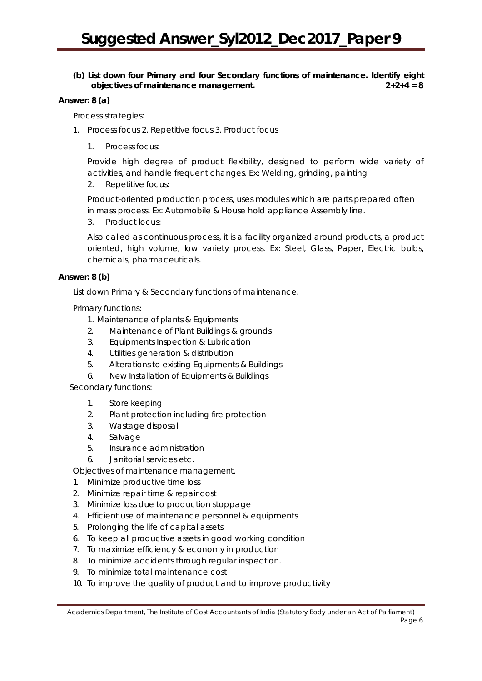### **(b) List down four Primary and four Secondary functions of maintenance. Identify eight objectives of maintenance management. 2+2+4 = 8**

#### **Answer: 8 (a)**

Process strategies:

- 1. Process focus 2. Repetitive focus 3. Product focus
	- 1. Process focus:

Provide high degree of product flexibility, designed to perform wide variety of activities, and handle frequent changes. Ex: Welding, grinding, painting

2. Repetitive focus:

Product-oriented production process, uses modules which are parts prepared often in mass process. Ex: Automobile & House hold appliance Assembly line.

3. Product locus:

Also called as continuous process, it is a facility organized around products, a product oriented, high volume, low variety process. Ex: Steel, Glass, Paper, Electric bulbs, chemicals, pharmaceuticals.

### **Answer: 8 (b)**

List down Primary & Secondary functions of maintenance.

### Primary functions:

- 1. Maintenance of plants & Equipments
- 2. Maintenance of Plant Buildings & grounds
- 3. Equipments Inspection & Lubrication
- 4. Utilities generation & distribution
- 5. Alterations to existing Equipments & Buildings
- 6. New Installation of Equipments & Buildings

# Secondary functions:

- 1. Store keeping
- 2. Plant protection including fire protection
- 3. Wastage disposal
- 4. Salvage
- 5. Insurance administration
- 6. Janitorial services etc.

Objectives of maintenance management.

- 1. Minimize productive time loss
- 2. Minimize repair time & repair cost
- 3. Minimize loss due to production stoppage
- 4. Efficient use of maintenance personnel & equipments
- 5. Prolonging the life of capital assets
- 6. To keep all productive assets in good working condition
- 7. To maximize efficiency & economy in production
- 8. To minimize accidents through regular inspection.
- 9. To minimize total maintenance cost
- 10. To improve the quality of product and to improve productivity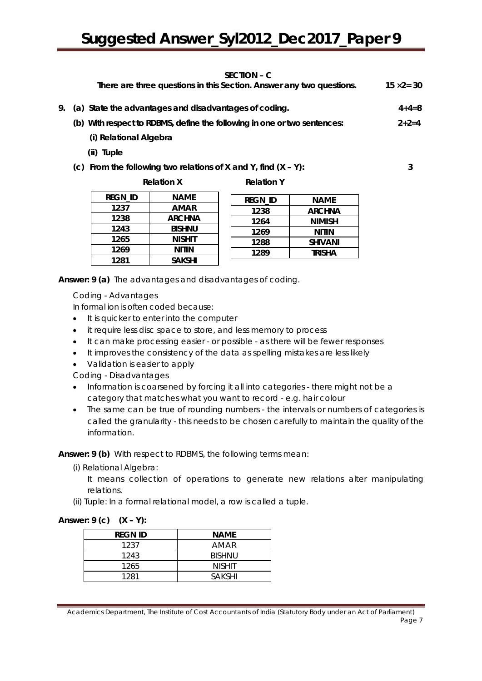#### **SECTION – C**

|    | JLVIIVII – V<br>There are three questions in this Section. Answer any two questions. | $15 \times 2 = 30$ |
|----|--------------------------------------------------------------------------------------|--------------------|
| 9. | (a) State the advantages and disadvantages of coding.                                | $4 + 4 = 8$        |
|    | (b) With respect to RDBMS, define the following in one or two sentences:             | $2+2=4$            |
|    | (i) Relational Algebra                                                               |                    |
|    | (ii) Tuple                                                                           |                    |
|    | (c) From the following two relations of X and Y, find $(X - Y)$ :                    | 3                  |
|    | <b>Relation X</b><br><b>Relation Y</b>                                               |                    |
|    | <br>.                                                                                |                    |

**REGN\_ID NAME 1237 AMAR 1238 ARCHNA 1243 BISHNU 1265 NISHIT 1269 NITIN 1281 SAKSHI**

| regn id | <b>NAME</b>    |
|---------|----------------|
| 1238    | <b>ARCHNA</b>  |
| 1264    | <b>NIMISH</b>  |
| 1269    | NITIN          |
| 1288    | <b>SHIVANI</b> |
| 1289    | TRISHA         |
|         |                |

**Answer: 9 (a)** The advantages and disadvantages of coding.

Coding - Advantages

In formal ion is often coded because:

- It is quicker to enter into the computer
- it require less disc space to store, and less memory to process
- It can make processing easier or possible as there will be fewer responses
- It improves the consistency of the data as spelling mistakes are less likely
- Validation is easier to apply

Coding - Disadvantages

- Information is coarsened by forcing it all into categories there might not be a category that matches what you want to record - e.g. hair colour
- The same can be true of rounding numbers the intervals or numbers of categories is called the granularity - this needs to be chosen carefully to maintain the quality of the information.

**Answer: 9 (b)** With respect to RDBMS, the following terms mean:

(i) Relational Algebra:

It means collection of operations to generate new relations alter manipulating relations.

(ii) Tuple: In a formal relational model, a row is called a tuple.

# **Answer: 9 (c) (X – Y):**

| <b>REGN ID</b> | <b>NAME</b>   |
|----------------|---------------|
| 1237           | AMAR          |
| 1243           | <b>BISHNU</b> |
| 1265           | <b>NISHIT</b> |
| 1281           | <b>SAKSHI</b> |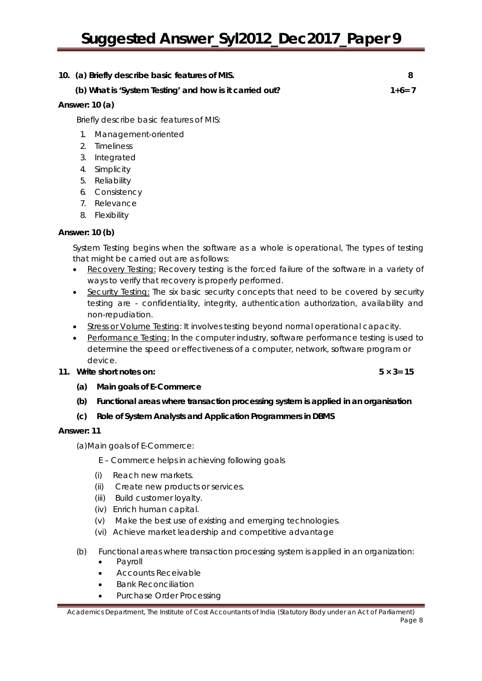# **10. (a) Briefly describe basic features of MIS. 8**

# **(b) What is 'System Testing' and how is it carried out? 1+6= 7**

# **Answer: 10 (a)**

Briefly describe basic features of MIS:

- 1. Management-oriented
- 2. Timeliness
- 3. Integrated
- 4. Simplicity
- 5. Reliability
- 6. Consistency
- 7. Relevance
- 8. Flexibility

# **Answer: 10 (b)**

System Testing begins when the software as a whole is operational, The types of testing that might be carried out are as follows:

- Recovery Testing: Recovery testing is the forced failure of the software in a variety of ways to verify that recovery is properly performed.
- Security Testing: The six basic security concepts that need to be covered by security testing are - confidentiality, integrity, authentication authorization, availability and non-repudiation.
- Stress or Volume Testing: It involves testing beyond normal operational capacity.
- Performance Testing: In the computer industry, software performance testing is used to determine the speed or effectiveness of a computer, network, software program or device.

# **11. Write short notes on: 5 × 3= 15**

**(a) Main goals of E-Commerce**

**(b) Functional areas where transaction processing system is applied in an organisation**

# **(c) Role of System Analysts and Application Programmers in DBMS**

# **Answer: 11**

(a)Main goals of E-Commerce:

- E Commerce helps in achieving following goals
- (i) Reach new markets.
- (ii) Create new products or services.
- (iii) Build customer loyalty.
- (iv) Enrich human capital.
- (v) Make the best use of existing and emerging technologies.
- (vi) Achieve market leadership and competitive advantage
- (b) Functional areas where transaction processing system is applied in an organization:
	- Payroll
	- Accounts Receivable
	- Bank Reconciliation
	- Purchase Order Processing

Academics Department, The Institute of Cost Accountants of India (Statutory Body under an Act of Parliament) Page 8